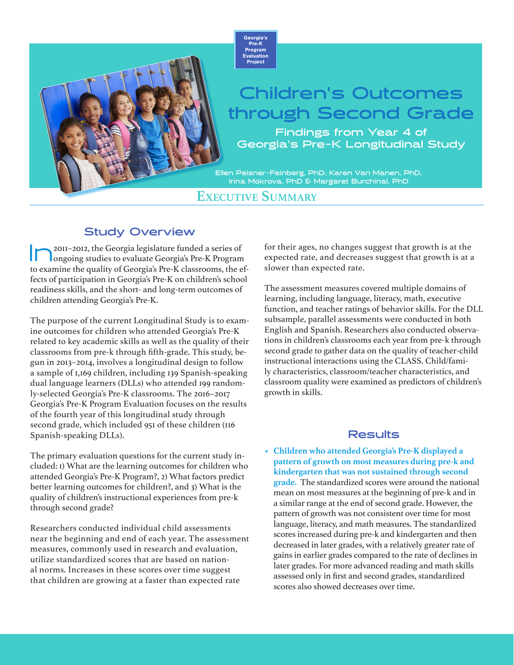

## **Children's Outcomes through Second Grade**

**Findings from Year 4 of Georgia's Pre-K Longitudinal Study**

**Ellen Peisner-Feinberg, PhD, Karen Van Manen, PhD, Irina Mokrova, PhD & Margaret Burchinal, PhD**

**Executive Summary**

## **Study Overview**

In2011–2012, the Georgia legislature funded a series of ongoing studies to evaluate Georgia's Pre-K Program to examine the quality of Georgia's Pre-K classrooms, the effects of participation in Georgia's Pre-K on children's school readiness skills, and the short- and long-term outcomes of children attending Georgia's Pre-K.

The purpose of the current Longitudinal Study is to examine outcomes for children who attended Georgia's Pre-K related to key academic skills as well as the quality of their classrooms from pre-k through fifth-grade. This study, begun in 2013–2014, involves a longitudinal design to follow a sample of 1,169 children, including 139 Spanish-speaking dual language learners (DLLs) who attended 199 randomly-selected Georgia's Pre-K classrooms. The 2016–2017 Georgia's Pre-K Program Evaluation focuses on the results of the fourth year of this longitudinal study through second grade, which included 951 of these children (116 Spanish-speaking DLLs).

The primary evaluation questions for the current study included: 1) What are the learning outcomes for children who attended Georgia's Pre-K Program?, 2) What factors predict better learning outcomes for children?, and 3) What is the quality of children's instructional experiences from pre-k through second grade?

Researchers conducted individual child assessments near the beginning and end of each year. The assessment measures, commonly used in research and evaluation, utilize standardized scores that are based on national norms. Increases in these scores over time suggest that children are growing at a faster than expected rate

for their ages, no changes suggest that growth is at the expected rate, and decreases suggest that growth is at a slower than expected rate.

The assessment measures covered multiple domains of learning, including language, literacy, math, executive function, and teacher ratings of behavior skills. For the DLL subsample, parallel assessments were conducted in both English and Spanish. Researchers also conducted observations in children's classrooms each year from pre-k through second grade to gather data on the quality of teacher-child instructional interactions using the CLASS. Child/family characteristics, classroom/teacher characteristics, and classroom quality were examined as predictors of children's growth in skills.

## **Results**

• **Children who attended Georgia's Pre-K displayed a pattern of growth on most measures during pre-k and kindergarten that was not sustained through second grade.** The standardized scores were around the national mean on most measures at the beginning of pre-k and in a similar range at the end of second grade. However, the pattern of growth was not consistent over time for most language, literacy, and math measures. The standardized scores increased during pre-k and kindergarten and then decreased in later grades, with a relatively greater rate of gains in earlier grades compared to the rate of declines in later grades. For more advanced reading and math skills assessed only in first and second grades, standardized scores also showed decreases over time.